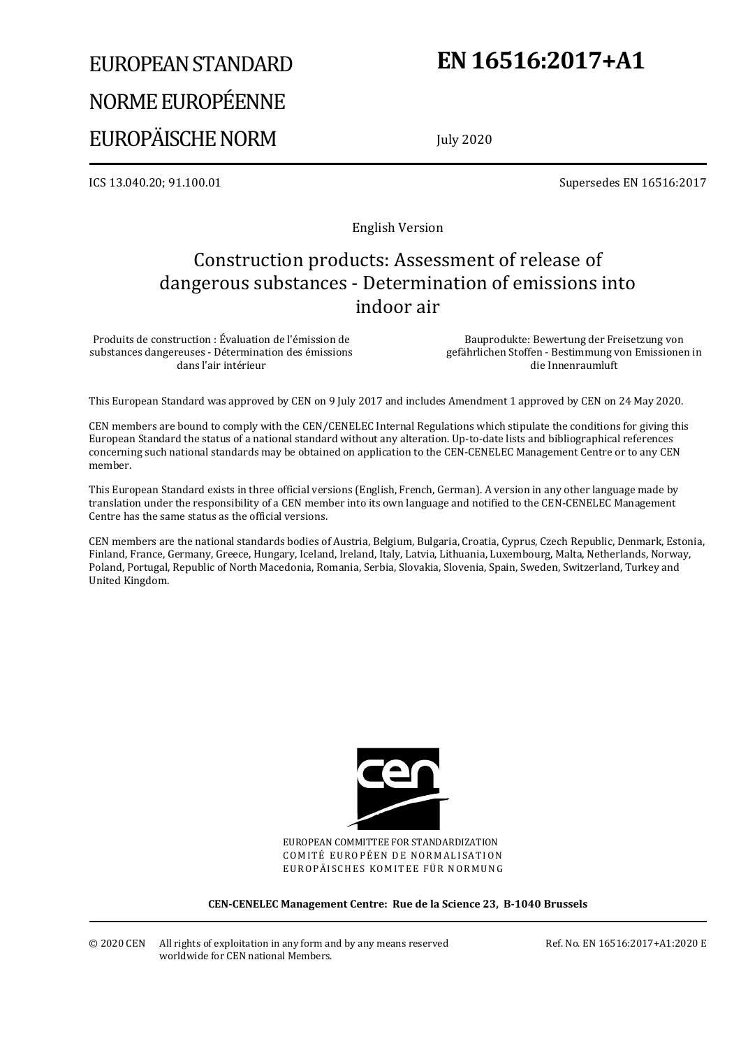# EUROPEAN STANDARD NORME EUROPÉENNE EUROPÄISCHE NORM

# **EN 16516:2017+A1**

July 2020

ICS 13.040.20; 91.100.01 Supersedes EN 16516:2017

English Version

# Construction products: Assessment of release of dangerous substances - Determination of emissions into indoor air

Produits de construction : Évaluation de l'émission de substances dangereuses - Détermination des émissions dans l'air intérieur

Bauprodukte: Bewertung der Freisetzung von gefährlichen Stoffen - Bestimmung von Emissionen in die Innenraumluft

This European Standard was approved by CEN on 9 July 2017 and includes Amendment 1 approved by CEN on 24 May 2020.

CEN members are bound to comply with the CEN/CENELEC Internal Regulations which stipulate the conditions for giving this European Standard the status of a national standard without any alteration. Up-to-date lists and bibliographical references concerning such national standards may be obtained on application to the CEN-CENELEC Management Centre or to any CEN member.

This European Standard exists in three official versions (English, French, German). A version in any other language made by translation under the responsibility of a CEN member into its own language and notified to the CEN-CENELEC Management Centre has the same status as the official versions.

CEN members are the national standards bodies of Austria, Belgium, Bulgaria, Croatia, Cyprus, Czech Republic, Denmark, Estonia, Finland, France, Germany, Greece, Hungary, Iceland, Ireland, Italy, Latvia, Lithuania, Luxembourg, Malta, Netherlands, Norway, Poland, Portugal, Republic of North Macedonia, Romania, Serbia, Slovakia, Slovenia, Spain, Sweden, Switzerland, Turkey and United Kingdom.



EUROPEAN COMMITTEE FOR STANDARDIZATION COMITÉ EUROPÉEN DE NORMALISATION EUROPÄISCHES KOMITEE FÜR NORMUNG

**CEN-CENELEC Management Centre: Rue de la Science 23, B-1040 Brussels** 

Ref. No. EN 16516:2017+A1:2020 E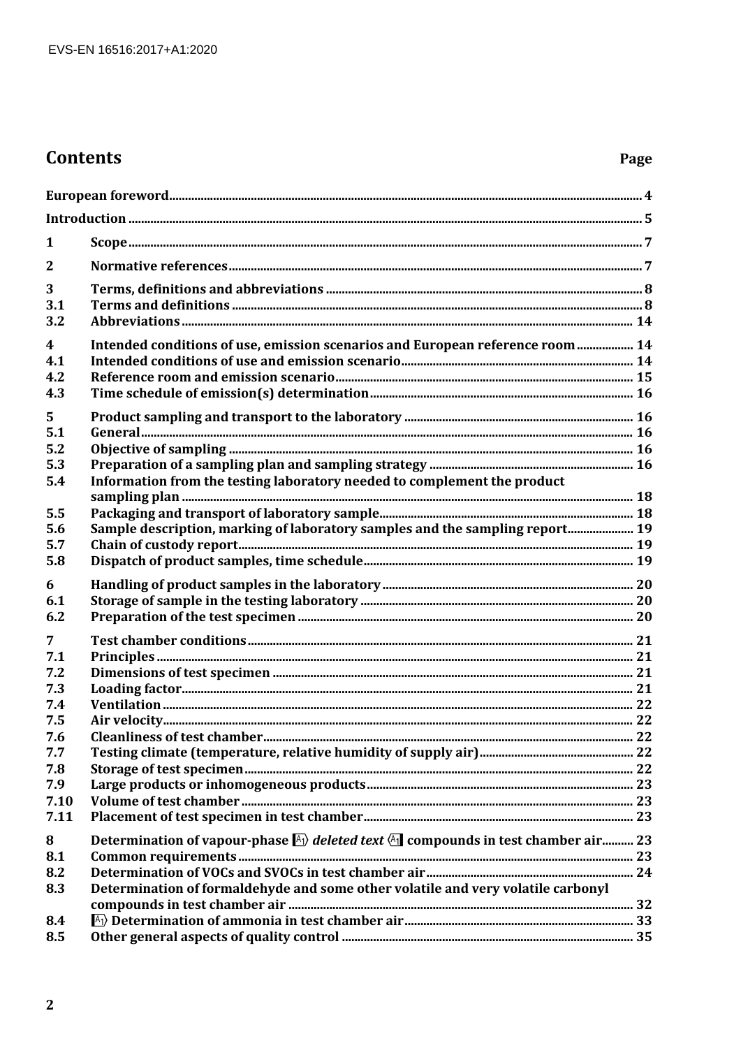## **Contents**

### Page

| 1                                            |                                                                                                                                                                                           |  |
|----------------------------------------------|-------------------------------------------------------------------------------------------------------------------------------------------------------------------------------------------|--|
| $\mathbf{2}$                                 |                                                                                                                                                                                           |  |
| 3<br>3.1<br>3.2                              |                                                                                                                                                                                           |  |
| $\overline{\mathbf{4}}$<br>4.1<br>4.2<br>4.3 | Intended conditions of use, emission scenarios and European reference room  14                                                                                                            |  |
| 5<br>5.1<br>5.2<br>5.3<br>5.4                | Information from the testing laboratory needed to complement the product                                                                                                                  |  |
| 5.5<br>5.6<br>5.7<br>5.8                     | Sample description, marking of laboratory samples and the sampling report 19                                                                                                              |  |
| 6<br>6.1<br>6.2                              |                                                                                                                                                                                           |  |
| 7<br>7.1<br>7.2<br>7.3<br>7.4                |                                                                                                                                                                                           |  |
| 7.5<br>7.6<br>7.7<br>7.8<br>7.9              |                                                                                                                                                                                           |  |
| 7.10<br>7.11                                 |                                                                                                                                                                                           |  |
| 8<br>8.1<br>8.2<br>8.3                       | Determination of vapour-phase $\mathbb{A}$ deleted text $\mathbb{A}$ compounds in test chamber air 23<br>Determination of formaldehyde and some other volatile and very volatile carbonyl |  |
| 8.4<br>8.5                                   |                                                                                                                                                                                           |  |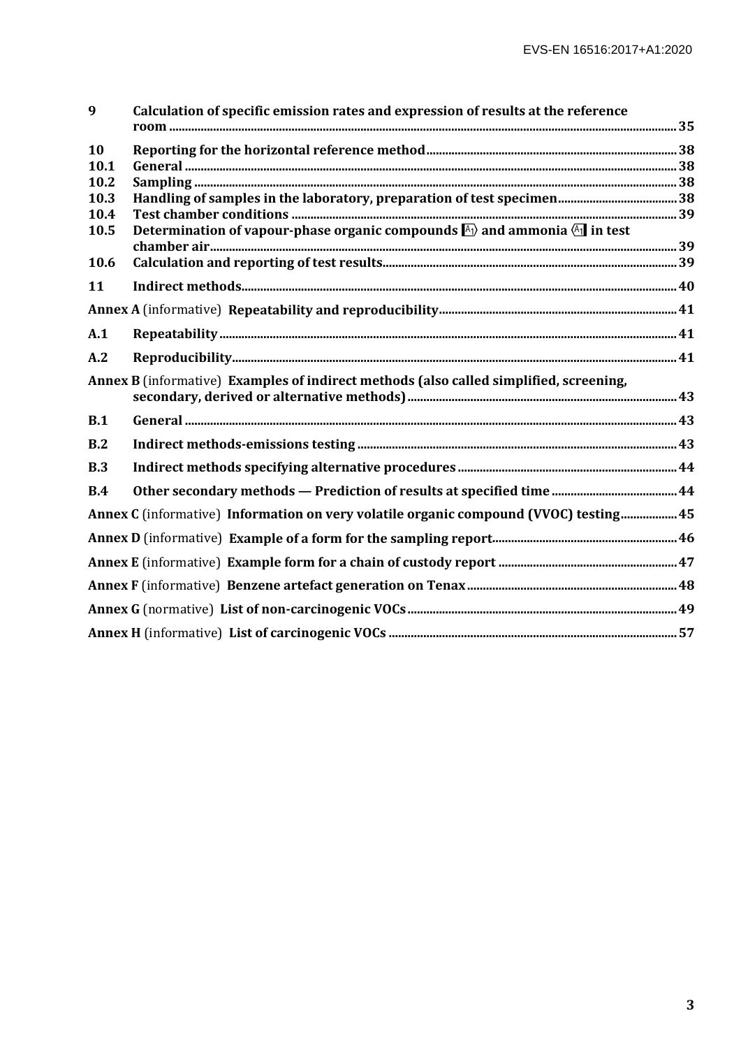| 9    | Calculation of specific emission rates and expression of results at the reference                 |  |
|------|---------------------------------------------------------------------------------------------------|--|
| 10   |                                                                                                   |  |
| 10.1 |                                                                                                   |  |
| 10.2 |                                                                                                   |  |
| 10.3 |                                                                                                   |  |
| 10.4 |                                                                                                   |  |
| 10.5 | Determination of vapour-phase organic compounds $\mathbb{A}_1$ and ammonia $\mathbb{A}_1$ in test |  |
| 10.6 |                                                                                                   |  |
| 11   |                                                                                                   |  |
|      |                                                                                                   |  |
| A.1  |                                                                                                   |  |
| A.2  |                                                                                                   |  |
|      | Annex B (informative) Examples of indirect methods (also called simplified, screening,            |  |
| B.1  |                                                                                                   |  |
| B.2  |                                                                                                   |  |
| B.3  |                                                                                                   |  |
| B.4  |                                                                                                   |  |
|      | Annex C (informative) Information on very volatile organic compound (VVOC) testing 45             |  |
|      |                                                                                                   |  |
|      |                                                                                                   |  |
|      |                                                                                                   |  |
|      |                                                                                                   |  |
|      |                                                                                                   |  |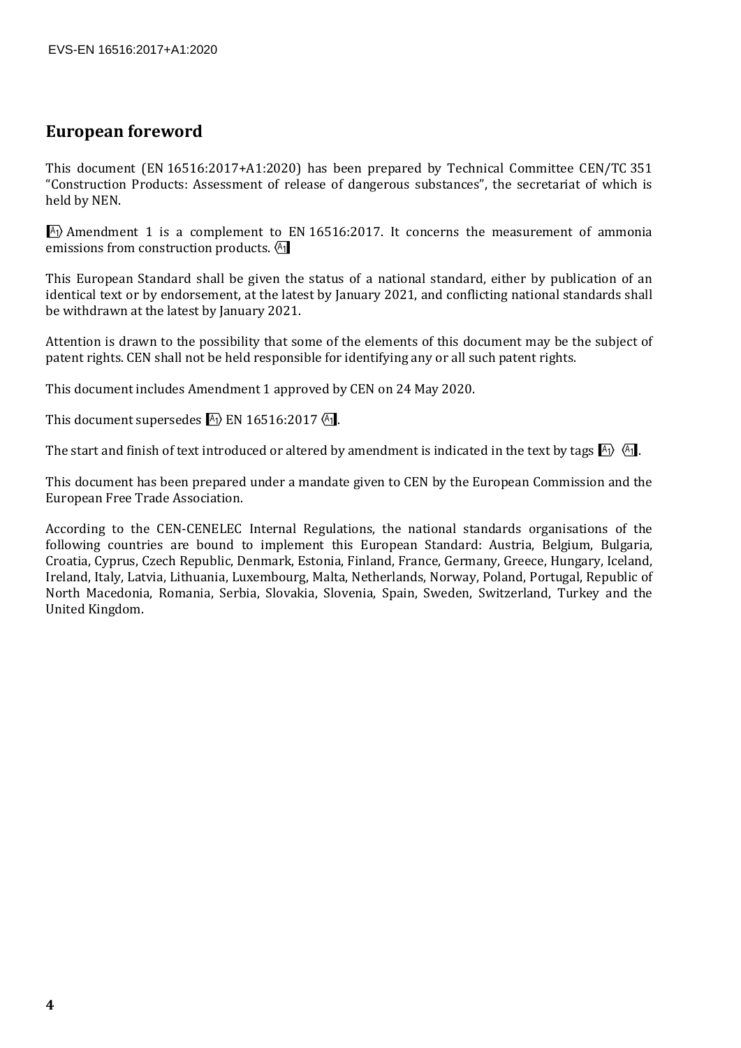### **European foreword**

This document (EN 16516:2017+A1:2020) has been prepared by Technical Committee CEN/TC 351 "Construction Products: Assessment of release of dangerous substances", the secretariat of which is held by NEN.

 $\overline{A_1}$  Amendment 1 is a complement to EN 16516:2017. It concerns the measurement of ammonia emissions from construction products.  $\sqrt{41}$ 

This European Standard shall be given the status of a national standard, either by publication of an identical text or by endorsement, at the latest by January 2021, and conflicting national standards shall be withdrawn at the latest by January 2021.

Attention is drawn to the possibility that some of the elements of this document may be the subject of patent rights. CEN shall not be held responsible for identifying any or all such patent rights.

This document includes Amendment 1 approved by CEN on 24 May 2020.

This document supersedes  $A_1$  EN 16516:2017 $A_1$ .

The start and finish of text introduced or altered by amendment is indicated in the text by tags  $\mathbb{A}_1$ .

This document has been prepared under a mandate given to CEN by the European Commission and the European Free Trade Association.

According to the CEN-CENELEC Internal Regulations, the national standards organisations of the following countries are bound to implement this European Standard: Austria, Belgium, Bulgaria, Croatia, Cyprus, Czech Republic, Denmark, Estonia, Finland, France, Germany, Greece, Hungary, Iceland, Ireland, Italy, Latvia, Lithuania, Luxembourg, Malta, Netherlands, Norway, Poland, Portugal, Republic of North Macedonia, Romania, Serbia, Slovakia, Slovenia, Spain, Sweden, Switzerland, Turkey and the United Kingdom.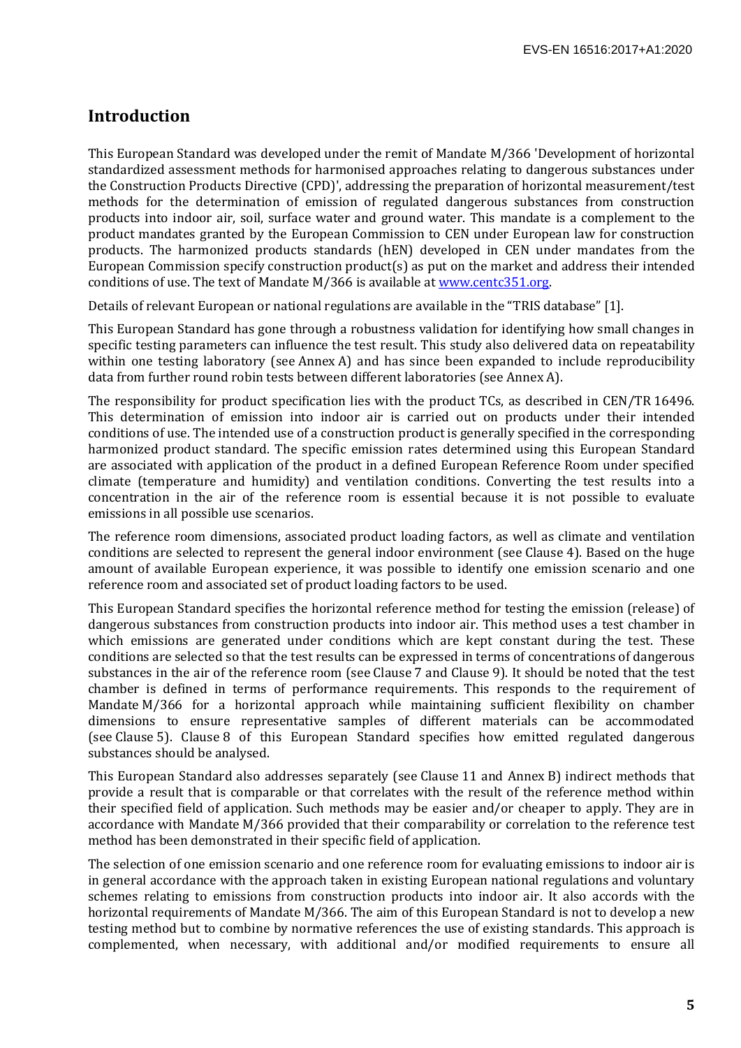#### **Introduction**

This European Standard was developed under the remit of Mandate M/366 'Development of horizontal standardized assessment methods for harmonised approaches relating to dangerous substances under the Construction Products Directive (CPD)', addressing the preparation of horizontal measurement/test methods for the determination of emission of regulated dangerous substances from construction products into indoor air, soil, surface water and ground water. This mandate is a complement to the product mandates granted by the European Commission to CEN under European law for construction products. The harmonized products standards (hEN) developed in CEN under mandates from the European Commission specify construction product(s) as put on the market and address their intended conditions of use. The text of Mandate M/366 is available at www.centc351.org.

Details of relevant European or national regulations are available in the "TRIS database" [1].

This European Standard has gone through a robustness validation for identifying how small changes in specific testing parameters can influence the test result. This study also delivered data on repeatability within one testing laboratory (see Annex A) and has since been expanded to include reproducibility data from further round robin tests between different laboratories (see Annex A).

The responsibility for product specification lies with the product TCs, as described in CEN/TR 16496. This determination of emission into indoor air is carried out on products under their intended conditions of use. The intended use of a construction product is generally specified in the corresponding harmonized product standard. The specific emission rates determined using this European Standard are associated with application of the product in a defined European Reference Room under specified climate (temperature and humidity) and ventilation conditions. Converting the test results into a concentration in the air of the reference room is essential because it is not possible to evaluate emissions in all possible use scenarios.

The reference room dimensions, associated product loading factors, as well as climate and ventilation conditions are selected to represent the general indoor environment (see Clause 4). Based on the huge amount of available European experience, it was possible to identify one emission scenario and one reference room and associated set of product loading factors to be used.

This European Standard specifies the horizontal reference method for testing the emission (release) of dangerous substances from construction products into indoor air. This method uses a test chamber in which emissions are generated under conditions which are kept constant during the test. These conditions are selected so that the test results can be expressed in terms of concentrations of dangerous substances in the air of the reference room (see Clause 7 and Clause 9). It should be noted that the test chamber is defined in terms of performance requirements. This responds to the requirement of Mandate M/366 for a horizontal approach while maintaining sufficient flexibility on chamber dimensions to ensure representative samples of different materials can be accommodated (see Clause 5). Clause 8 of this European Standard specifies how emitted regulated dangerous substances should be analysed.

This European Standard also addresses separately (see Clause 11 and Annex B) indirect methods that provide a result that is comparable or that correlates with the result of the reference method within their specified field of application. Such methods may be easier and/or cheaper to apply. They are in accordance with Mandate M/366 provided that their comparability or correlation to the reference test method has been demonstrated in their specific field of application.

The selection of one emission scenario and one reference room for evaluating emissions to indoor air is in general accordance with the approach taken in existing European national regulations and voluntary schemes relating to emissions from construction products into indoor air. It also accords with the horizontal requirements of Mandate M/366. The aim of this European Standard is not to develop a new testing method but to combine by normative references the use of existing standards. This approach is complemented, when necessary, with additional and/or modified requirements to ensure all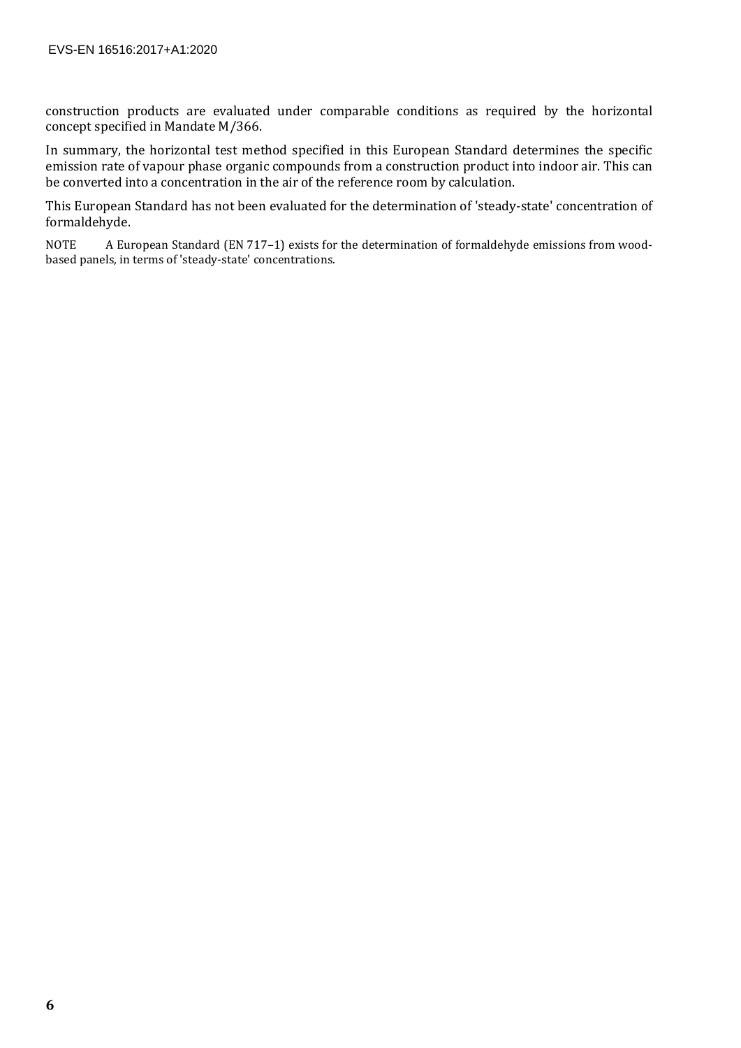construction products are evaluated under comparable conditions as required by the horizontal concept specified in Mandate M/366.

In summary, the horizontal test method specified in this European Standard determines the specific emission rate of vapour phase organic compounds from a construction product into indoor air. This can be converted into a concentration in the air of the reference room by calculation.

This European Standard has not been evaluated for the determination of 'steady-state' concentration of formaldehyde.

NOTE A European Standard (EN 717–1) exists for the determination of formaldehyde emissions from woodbased panels, in terms of 'steady-state' concentrations.